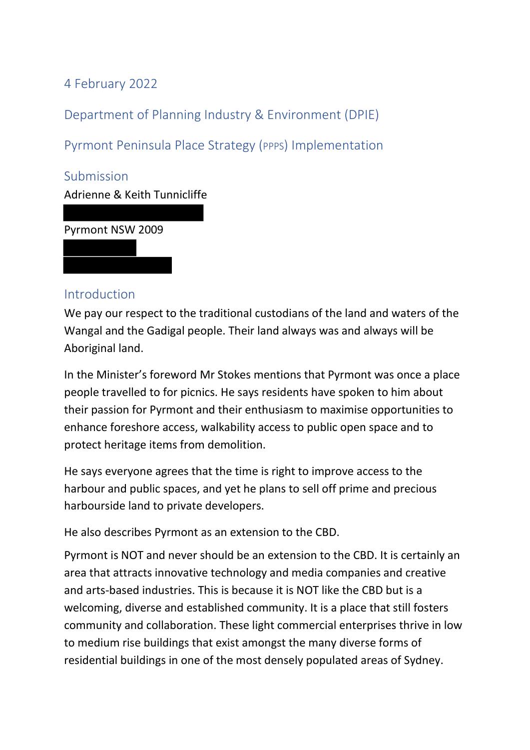4 February 2022

Department of Planning Industry & Environment (DPIE)

Pyrmont Peninsula Place Strategy (PPPS) Implementation

Submission

Adrienne & Keith Tunnicliffe

Pyrmont NSW 2009

### Introduction

We pay our respect to the traditional custodians of the land and waters of the Wangal and the Gadigal people. Their land always was and always will be Aboriginal land.

In the Minister's foreword Mr Stokes mentions that Pyrmont was once a place people travelled to for picnics. He says residents have spoken to him about their passion for Pyrmont and their enthusiasm to maximise opportunities to enhance foreshore access, walkability access to public open space and to protect heritage items from demolition.

He says everyone agrees that the time is right to improve access to the harbour and public spaces, and yet he plans to sell off prime and precious harbourside land to private developers.

He also describes Pyrmont as an extension to the CBD.

Pyrmont is NOT and never should be an extension to the CBD. It is certainly an area that attracts innovative technology and media companies and creative and arts-based industries. This is because it is NOT like the CBD but is a welcoming, diverse and established community. It is a place that still fosters community and collaboration. These light commercial enterprises thrive in low to medium rise buildings that exist amongst the many diverse forms of residential buildings in one of the most densely populated areas of Sydney.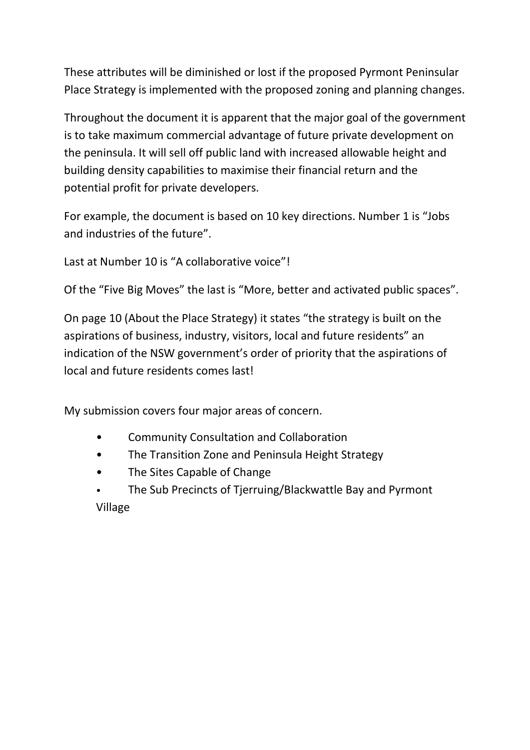These attributes will be diminished or lost if the proposed Pyrmont Peninsular Place Strategy is implemented with the proposed zoning and planning changes.

Throughout the document it is apparent that the major goal of the government is to take maximum commercial advantage of future private development on the peninsula. It will sell off public land with increased allowable height and building density capabilities to maximise their financial return and the potential profit for private developers.

For example, the document is based on 10 key directions. Number 1 is "Jobs and industries of the future".

Last at Number 10 is "A collaborative voice"!

Of the "Five Big Moves" the last is "More, better and activated public spaces".

On page 10 (About the Place Strategy) it states "the strategy is built on the aspirations of business, industry, visitors, local and future residents" an indication of the NSW government's order of priority that the aspirations of local and future residents comes last!

My submission covers four major areas of concern.

- Community Consultation and Collaboration
- The Transition Zone and Peninsula Height Strategy
- The Sites Capable of Change
- The Sub Precincts of Tjerruing/Blackwattle Bay and Pyrmont Village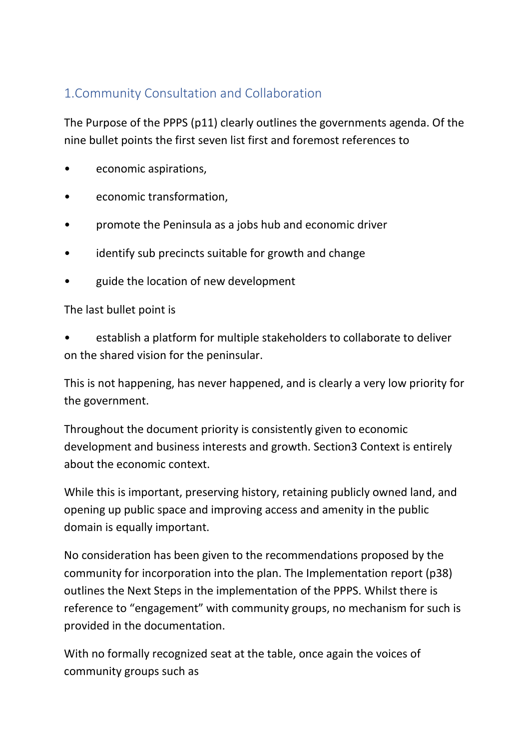# 1.Community Consultation and Collaboration

The Purpose of the PPPS (p11) clearly outlines the governments agenda. Of the nine bullet points the first seven list first and foremost references to

- economic aspirations,
- economic transformation,
- promote the Peninsula as a jobs hub and economic driver
- identify sub precincts suitable for growth and change
- guide the location of new development

#### The last bullet point is

• establish a platform for multiple stakeholders to collaborate to deliver on the shared vision for the peninsular.

This is not happening, has never happened, and is clearly a very low priority for the government.

Throughout the document priority is consistently given to economic development and business interests and growth. Section3 Context is entirely about the economic context.

While this is important, preserving history, retaining publicly owned land, and opening up public space and improving access and amenity in the public domain is equally important.

No consideration has been given to the recommendations proposed by the community for incorporation into the plan. The Implementation report (p38) outlines the Next Steps in the implementation of the PPPS. Whilst there is reference to "engagement" with community groups, no mechanism for such is provided in the documentation.

With no formally recognized seat at the table, once again the voices of community groups such as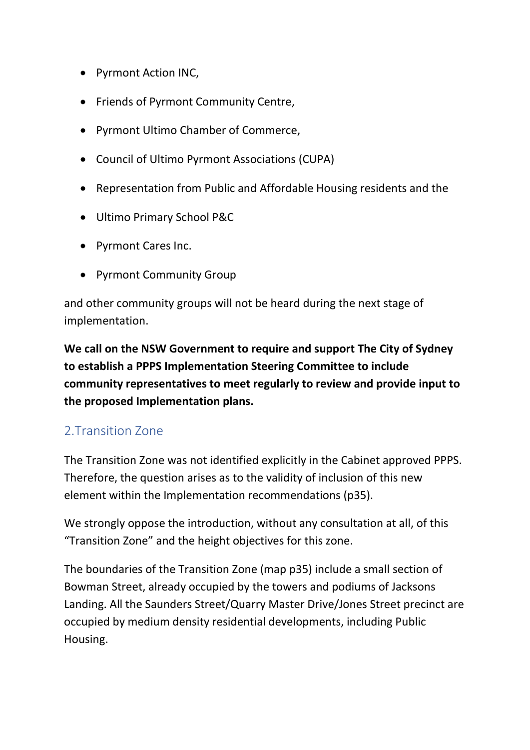- Pyrmont Action INC,
- Friends of Pyrmont Community Centre,
- Pyrmont Ultimo Chamber of Commerce,
- Council of Ultimo Pyrmont Associations (CUPA)
- Representation from Public and Affordable Housing residents and the
- Ultimo Primary School P&C
- Pyrmont Cares Inc.
- Pyrmont Community Group

and other community groups will not be heard during the next stage of implementation.

**We call on the NSW Government to require and support The City of Sydney to establish a PPPS Implementation Steering Committee to include community representatives to meet regularly to review and provide input to the proposed Implementation plans.**

## 2.Transition Zone

The Transition Zone was not identified explicitly in the Cabinet approved PPPS. Therefore, the question arises as to the validity of inclusion of this new element within the Implementation recommendations (p35).

We strongly oppose the introduction, without any consultation at all, of this "Transition Zone" and the height objectives for this zone.

The boundaries of the Transition Zone (map p35) include a small section of Bowman Street, already occupied by the towers and podiums of Jacksons Landing. All the Saunders Street/Quarry Master Drive/Jones Street precinct are occupied by medium density residential developments, including Public Housing.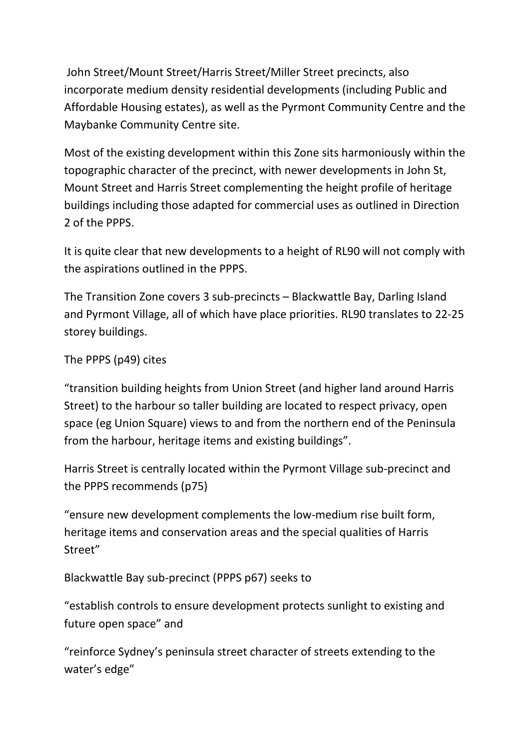John Street/Mount Street/Harris Street/Miller Street precincts, also incorporate medium density residential developments (including Public and Affordable Housing estates), as well as the Pyrmont Community Centre and the Maybanke Community Centre site.

Most of the existing development within this Zone sits harmoniously within the topographic character of the precinct, with newer developments in John St, Mount Street and Harris Street complementing the height profile of heritage buildings including those adapted for commercial uses as outlined in Direction 2 of the PPPS.

It is quite clear that new developments to a height of RL90 will not comply with the aspirations outlined in the PPPS.

The Transition Zone covers 3 sub-precincts – Blackwattle Bay, Darling Island and Pyrmont Village, all of which have place priorities. RL90 translates to 22-25 storey buildings.

### The PPPS (p49) cites

"transition building heights from Union Street (and higher land around Harris Street) to the harbour so taller building are located to respect privacy, open space (eg Union Square) views to and from the northern end of the Peninsula from the harbour, heritage items and existing buildings".

Harris Street is centrally located within the Pyrmont Village sub-precinct and the PPPS recommends (p75)

"ensure new development complements the low-medium rise built form, heritage items and conservation areas and the special qualities of Harris Street"

Blackwattle Bay sub-precinct (PPPS p67) seeks to

"establish controls to ensure development protects sunlight to existing and future open space" and

"reinforce Sydney's peninsula street character of streets extending to the water's edge"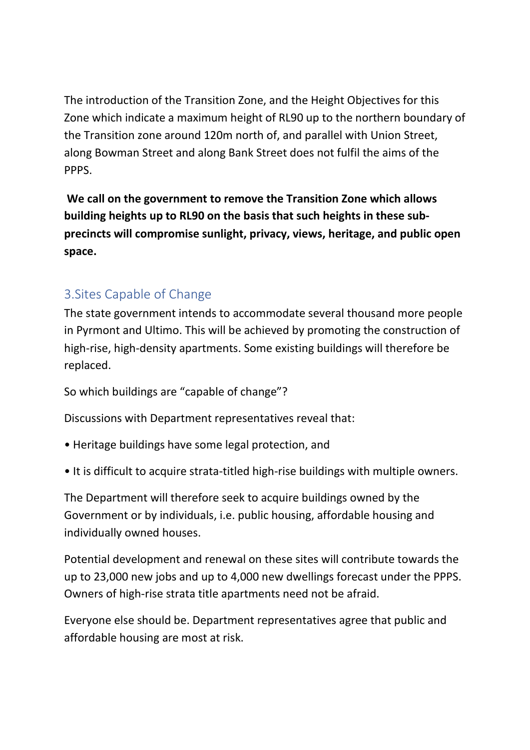The introduction of the Transition Zone, and the Height Objectives for this Zone which indicate a maximum height of RL90 up to the northern boundary of the Transition zone around 120m north of, and parallel with Union Street, along Bowman Street and along Bank Street does not fulfil the aims of the PPPS.

**We call on the government to remove the Transition Zone which allows building heights up to RL90 on the basis that such heights in these subprecincts will compromise sunlight, privacy, views, heritage, and public open space.**

# 3.Sites Capable of Change

The state government intends to accommodate several thousand more people in Pyrmont and Ultimo. This will be achieved by promoting the construction of high-rise, high-density apartments. Some existing buildings will therefore be replaced.

So which buildings are "capable of change"?

Discussions with Department representatives reveal that:

- Heritage buildings have some legal protection, and
- It is difficult to acquire strata-titled high-rise buildings with multiple owners.

The Department will therefore seek to acquire buildings owned by the Government or by individuals, i.e. public housing, affordable housing and individually owned houses.

Potential development and renewal on these sites will contribute towards the up to 23,000 new jobs and up to 4,000 new dwellings forecast under the PPPS. Owners of high-rise strata title apartments need not be afraid.

Everyone else should be. Department representatives agree that public and affordable housing are most at risk.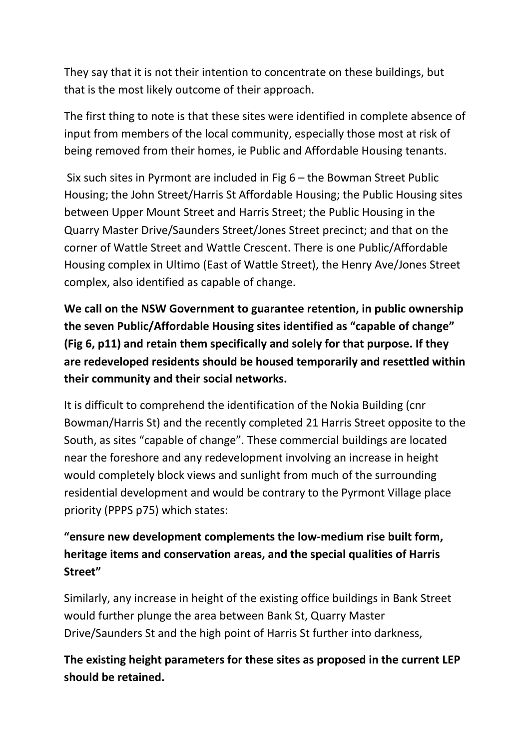They say that it is not their intention to concentrate on these buildings, but that is the most likely outcome of their approach.

The first thing to note is that these sites were identified in complete absence of input from members of the local community, especially those most at risk of being removed from their homes, ie Public and Affordable Housing tenants.

Six such sites in Pyrmont are included in Fig 6 – the Bowman Street Public Housing; the John Street/Harris St Affordable Housing; the Public Housing sites between Upper Mount Street and Harris Street; the Public Housing in the Quarry Master Drive/Saunders Street/Jones Street precinct; and that on the corner of Wattle Street and Wattle Crescent. There is one Public/Affordable Housing complex in Ultimo (East of Wattle Street), the Henry Ave/Jones Street complex, also identified as capable of change.

**We call on the NSW Government to guarantee retention, in public ownership the seven Public/Affordable Housing sites identified as "capable of change" (Fig 6, p11) and retain them specifically and solely for that purpose. If they are redeveloped residents should be housed temporarily and resettled within their community and their social networks.** 

It is difficult to comprehend the identification of the Nokia Building (cnr Bowman/Harris St) and the recently completed 21 Harris Street opposite to the South, as sites "capable of change". These commercial buildings are located near the foreshore and any redevelopment involving an increase in height would completely block views and sunlight from much of the surrounding residential development and would be contrary to the Pyrmont Village place priority (PPPS p75) which states:

# **"ensure new development complements the low-medium rise built form, heritage items and conservation areas, and the special qualities of Harris Street"**

Similarly, any increase in height of the existing office buildings in Bank Street would further plunge the area between Bank St, Quarry Master Drive/Saunders St and the high point of Harris St further into darkness,

**The existing height parameters for these sites as proposed in the current LEP should be retained.**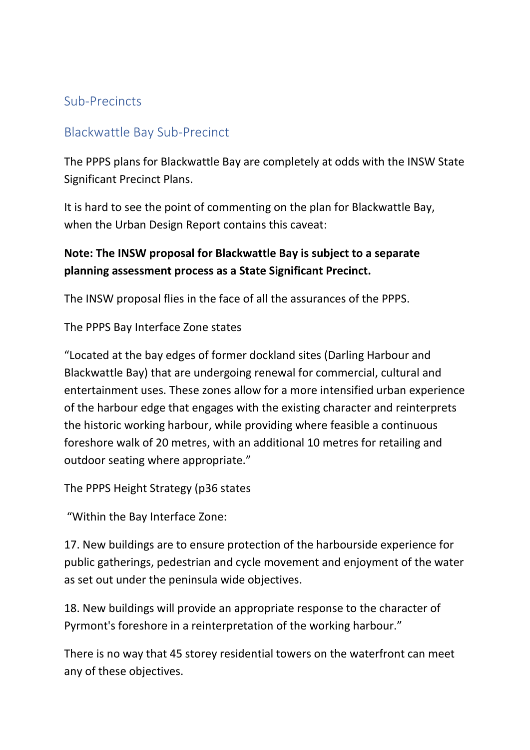## Sub-Precincts

### Blackwattle Bay Sub-Precinct

The PPPS plans for Blackwattle Bay are completely at odds with the INSW State Significant Precinct Plans.

It is hard to see the point of commenting on the plan for Blackwattle Bay, when the Urban Design Report contains this caveat:

## **Note: The INSW proposal for Blackwattle Bay is subject to a separate planning assessment process as a State Significant Precinct.**

The INSW proposal flies in the face of all the assurances of the PPPS.

The PPPS Bay Interface Zone states

"Located at the bay edges of former dockland sites (Darling Harbour and Blackwattle Bay) that are undergoing renewal for commercial, cultural and entertainment uses. These zones allow for a more intensified urban experience of the harbour edge that engages with the existing character and reinterprets the historic working harbour, while providing where feasible a continuous foreshore walk of 20 metres, with an additional 10 metres for retailing and outdoor seating where appropriate."

The PPPS Height Strategy (p36 states

"Within the Bay Interface Zone:

17. New buildings are to ensure protection of the harbourside experience for public gatherings, pedestrian and cycle movement and enjoyment of the water as set out under the peninsula wide objectives.

18. New buildings will provide an appropriate response to the character of Pyrmont's foreshore in a reinterpretation of the working harbour."

There is no way that 45 storey residential towers on the waterfront can meet any of these objectives.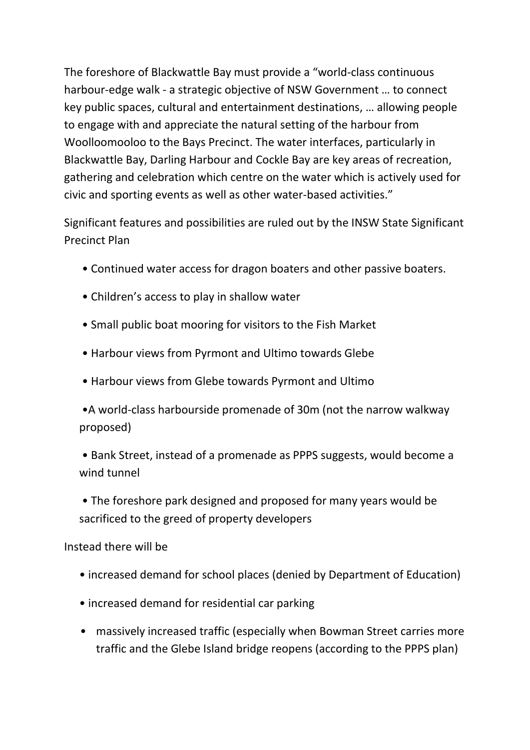The foreshore of Blackwattle Bay must provide a "world-class continuous harbour-edge walk - a strategic objective of NSW Government … to connect key public spaces, cultural and entertainment destinations, … allowing people to engage with and appreciate the natural setting of the harbour from Woolloomooloo to the Bays Precinct. The water interfaces, particularly in Blackwattle Bay, Darling Harbour and Cockle Bay are key areas of recreation, gathering and celebration which centre on the water which is actively used for civic and sporting events as well as other water-based activities."

Significant features and possibilities are ruled out by the INSW State Significant Precinct Plan

- Continued water access for dragon boaters and other passive boaters.
- Children's access to play in shallow water
- Small public boat mooring for visitors to the Fish Market
- Harbour views from Pyrmont and Ultimo towards Glebe
- Harbour views from Glebe towards Pyrmont and Ultimo

•A world-class harbourside promenade of 30m (not the narrow walkway proposed)

• Bank Street, instead of a promenade as PPPS suggests, would become a wind tunnel

• The foreshore park designed and proposed for many years would be sacrificed to the greed of property developers

Instead there will be

- increased demand for school places (denied by Department of Education)
- increased demand for residential car parking
- massively increased traffic (especially when Bowman Street carries more traffic and the Glebe Island bridge reopens (according to the PPPS plan)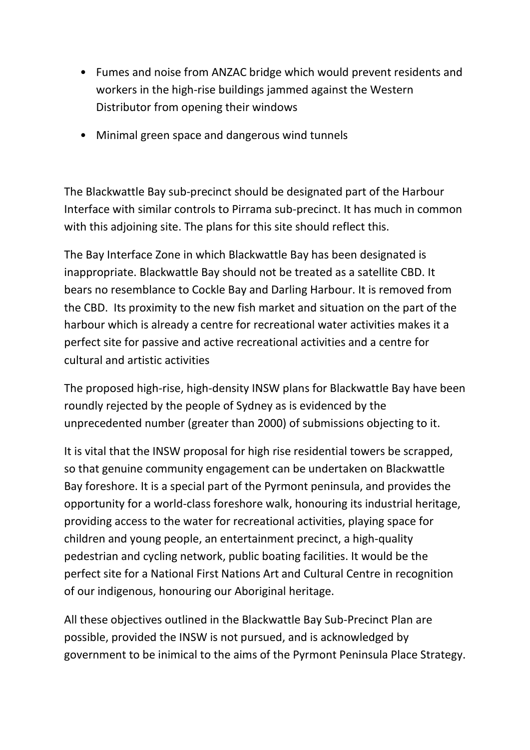- Fumes and noise from ANZAC bridge which would prevent residents and workers in the high-rise buildings jammed against the Western Distributor from opening their windows
- Minimal green space and dangerous wind tunnels

The Blackwattle Bay sub-precinct should be designated part of the Harbour Interface with similar controls to Pirrama sub-precinct. It has much in common with this adjoining site. The plans for this site should reflect this.

The Bay Interface Zone in which Blackwattle Bay has been designated is inappropriate. Blackwattle Bay should not be treated as a satellite CBD. It bears no resemblance to Cockle Bay and Darling Harbour. It is removed from the CBD. Its proximity to the new fish market and situation on the part of the harbour which is already a centre for recreational water activities makes it a perfect site for passive and active recreational activities and a centre for cultural and artistic activities

The proposed high-rise, high-density INSW plans for Blackwattle Bay have been roundly rejected by the people of Sydney as is evidenced by the unprecedented number (greater than 2000) of submissions objecting to it.

It is vital that the INSW proposal for high rise residential towers be scrapped, so that genuine community engagement can be undertaken on Blackwattle Bay foreshore. It is a special part of the Pyrmont peninsula, and provides the opportunity for a world-class foreshore walk, honouring its industrial heritage, providing access to the water for recreational activities, playing space for children and young people, an entertainment precinct, a high-quality pedestrian and cycling network, public boating facilities. It would be the perfect site for a National First Nations Art and Cultural Centre in recognition of our indigenous, honouring our Aboriginal heritage.

All these objectives outlined in the Blackwattle Bay Sub-Precinct Plan are possible, provided the INSW is not pursued, and is acknowledged by government to be inimical to the aims of the Pyrmont Peninsula Place Strategy.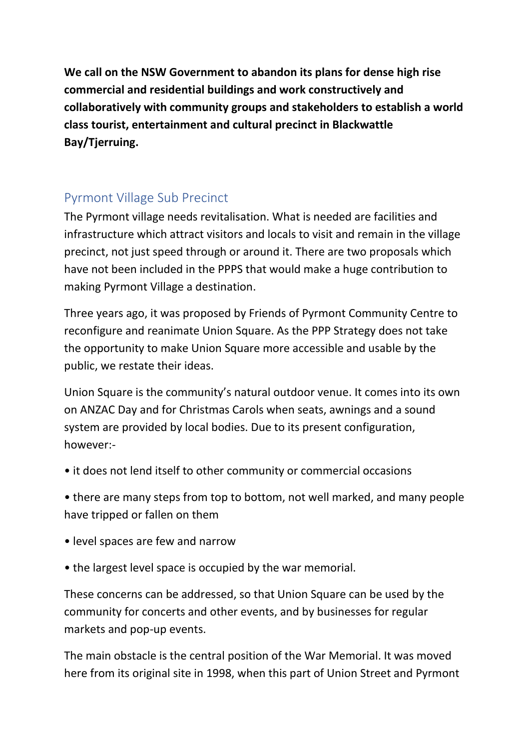**We call on the NSW Government to abandon its plans for dense high rise commercial and residential buildings and work constructively and collaboratively with community groups and stakeholders to establish a world class tourist, entertainment and cultural precinct in Blackwattle Bay/Tjerruing.**

# Pyrmont Village Sub Precinct

The Pyrmont village needs revitalisation. What is needed are facilities and infrastructure which attract visitors and locals to visit and remain in the village precinct, not just speed through or around it. There are two proposals which have not been included in the PPPS that would make a huge contribution to making Pyrmont Village a destination.

Three years ago, it was proposed by Friends of Pyrmont Community Centre to reconfigure and reanimate Union Square. As the PPP Strategy does not take the opportunity to make Union Square more accessible and usable by the public, we restate their ideas.

Union Square is the community's natural outdoor venue. It comes into its own on ANZAC Day and for Christmas Carols when seats, awnings and a sound system are provided by local bodies. Due to its present configuration, however:-

• it does not lend itself to other community or commercial occasions

• there are many steps from top to bottom, not well marked, and many people have tripped or fallen on them

- level spaces are few and narrow
- the largest level space is occupied by the war memorial.

These concerns can be addressed, so that Union Square can be used by the community for concerts and other events, and by businesses for regular markets and pop-up events.

The main obstacle is the central position of the War Memorial. It was moved here from its original site in 1998, when this part of Union Street and Pyrmont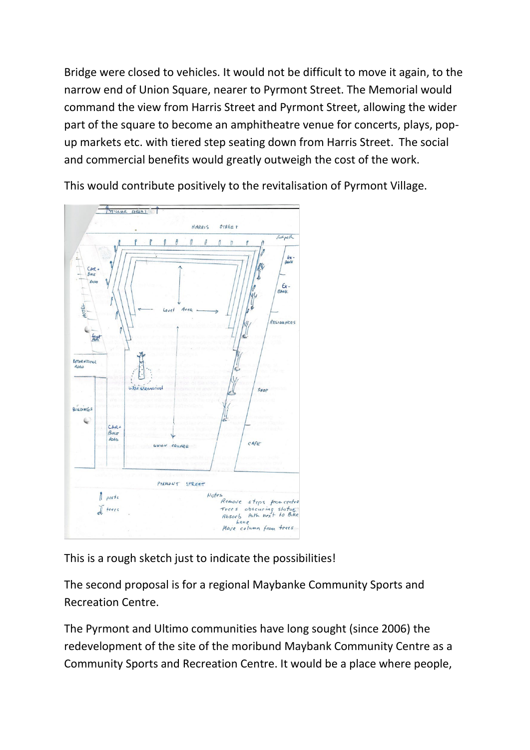Bridge were closed to vehicles. It would not be difficult to move it again, to the narrow end of Union Square, nearer to Pyrmont Street. The Memorial would command the view from Harris Street and Pyrmont Street, allowing the wider part of the square to become an amphitheatre venue for concerts, plays, popup markets etc. with tiered step seating down from Harris Street. The social and commercial benefits would greatly outweigh the cost of the work.

This would contribute positively to the revitalisation of Pyrmont Village.



This is a rough sketch just to indicate the possibilities!

The second proposal is for a regional Maybanke Community Sports and Recreation Centre.

The Pyrmont and Ultimo communities have long sought (since 2006) the redevelopment of the site of the moribund Maybank Community Centre as a Community Sports and Recreation Centre. It would be a place where people,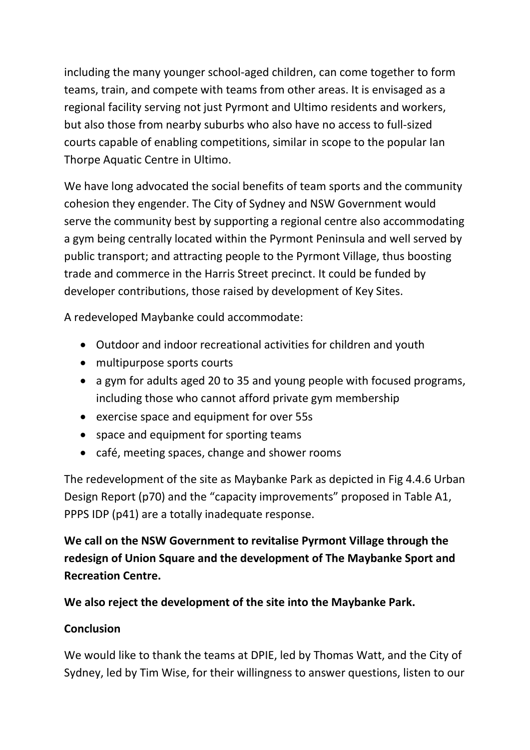including the many younger school-aged children, can come together to form teams, train, and compete with teams from other areas. It is envisaged as a regional facility serving not just Pyrmont and Ultimo residents and workers, but also those from nearby suburbs who also have no access to full-sized courts capable of enabling competitions, similar in scope to the popular Ian Thorpe Aquatic Centre in Ultimo.

We have long advocated the social benefits of team sports and the community cohesion they engender. The City of Sydney and NSW Government would serve the community best by supporting a regional centre also accommodating a gym being centrally located within the Pyrmont Peninsula and well served by public transport; and attracting people to the Pyrmont Village, thus boosting trade and commerce in the Harris Street precinct. It could be funded by developer contributions, those raised by development of Key Sites.

A redeveloped Maybanke could accommodate:

- Outdoor and indoor recreational activities for children and youth
- multipurpose sports courts
- a gym for adults aged 20 to 35 and young people with focused programs, including those who cannot afford private gym membership
- exercise space and equipment for over 55s
- space and equipment for sporting teams
- café, meeting spaces, change and shower rooms

The redevelopment of the site as Maybanke Park as depicted in Fig 4.4.6 Urban Design Report (p70) and the "capacity improvements" proposed in Table A1, PPPS IDP (p41) are a totally inadequate response.

**We call on the NSW Government to revitalise Pyrmont Village through the redesign of Union Square and the development of The Maybanke Sport and Recreation Centre.** 

**We also reject the development of the site into the Maybanke Park.**

### **Conclusion**

We would like to thank the teams at DPIE, led by Thomas Watt, and the City of Sydney, led by Tim Wise, for their willingness to answer questions, listen to our